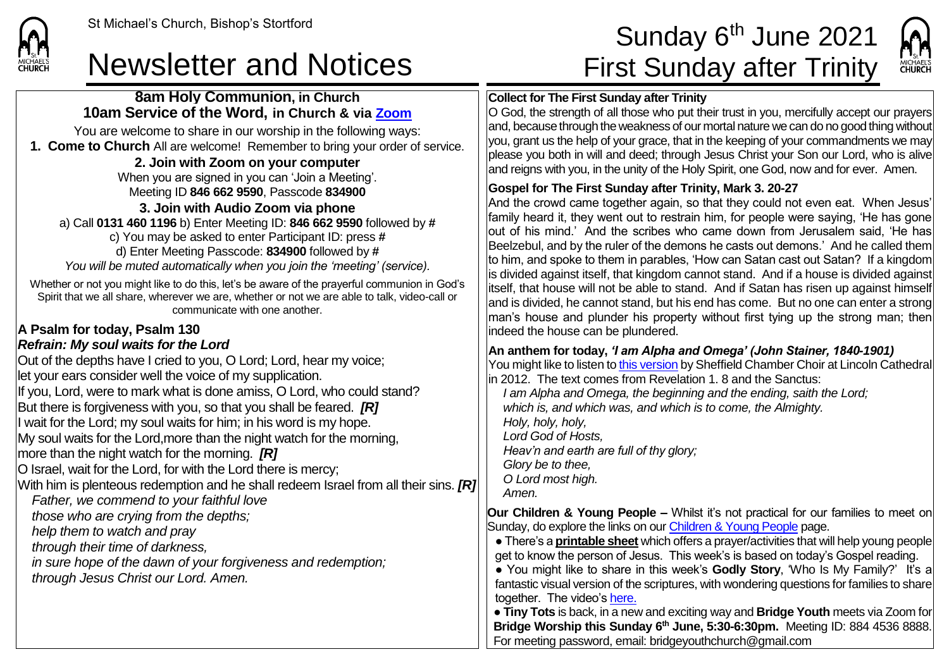## Newsletter and Notices First Sunday after Trinity

**8am Holy Communion, in Church 10am Service of the Word, in Church & via [Zoom](https://zoom.us/)**

# St Michael's Church, Bishop's Stortford  $\mathsf{Sunday\ 6}^{\mathsf{th}}$  June 2021



#### **Collect for The First Sunday after Trinity**

O God, the strength of all those who put their trust in you, mercifully accept our prayers and, because through the weakness of our mortal nature we can do no good thing without you, grant us the help of your grace, that in the keeping of your commandments we may please you both in will and deed; through Jesus Christ your Son our Lord, who is alive and reigns with you, in the unity of the Holy Spirit, one God, now and for ever. Amen.

#### **Gospel for The First Sunday after Trinity, Mark 3. 20-27**

And the crowd came together again, so that they could not even eat. When Jesus' family heard it, they went out to restrain him, for people were saying, 'He has gone out of his mind.' And the scribes who came down from Jerusalem said. 'He has Beelzebul, and by the ruler of the demons he casts out demons.' And he called them to him, and spoke to them in parables, 'How can Satan cast out Satan? If a kingdom is divided against itself, that kingdom cannot stand. And if a house is divided against itself, that house will not be able to stand. And if Satan has risen up against himself and is divided, he cannot stand, but his end has come. But no one can enter a strong man's house and plunder his property without first tying up the strong man; then indeed the house can be plundered.

#### **An anthem for today,** *'I am Alpha and Omega' (John Stainer, 1840-1901)*

You might like to listen t[o this version](https://www.youtube.com/watch?v=UnvExBifBK4) by Sheffield Chamber Choir at Lincoln Cathedral in 2012. The text comes from Revelation 1. 8 and the Sanctus: *I am Alpha and Omega, the beginning and the ending, saith the Lord; which is, and which was, and which is to come, the Almighty. Holy, holy, holy, Lord God of Hosts, Heav'n and earth are full of thy glory; Glory be to thee, O Lord most high. Amen.*

**Our Children & Young People –** Whilst it's not practical for our families to meet on Sunday, do explore the links on ou[r Children & Young People](https://saintmichaelweb.org.uk/Groups/310496/Children_and_Young.aspx) page.

● There's a **[printable sheet](https://saintmichaelweb.org.uk/Groups/310496/Children_and_Young.aspx)** which offers a prayer/activities that will help young people get to know the person of Jesus. This week's is based on today's Gospel reading.

● You might like to share in this week's **Godly Story**, 'Who Is My Family?' It's a fantastic visual version of the scriptures, with wondering questions for families to share together. The video's [here.](https://www.youtube.com/watch?v=72EkKlPqVBI)

● **Tiny Tots** is back, in a new and exciting way and **Bridge Youth** meets via Zoom for **Bridge Worship this Sunday 6th June, 5:30-6:30pm.** Meeting ID: 884 4536 8888. For meeting password, email: bridgeyouthchurch@gmail.com

| You are welcome to share in our worship in the following ways:                                                                                                                                                                |
|-------------------------------------------------------------------------------------------------------------------------------------------------------------------------------------------------------------------------------|
| 1. Come to Church All are welcome! Remember to bring your order of service.                                                                                                                                                   |
| 2. Join with Zoom on your computer                                                                                                                                                                                            |
| When you are signed in you can 'Join a Meeting'.                                                                                                                                                                              |
| Meeting ID 846 662 9590, Passcode 834900                                                                                                                                                                                      |
| 3. Join with Audio Zoom via phone                                                                                                                                                                                             |
| a) Call 0131 460 1196 b) Enter Meeting ID: 846 662 9590 followed by #                                                                                                                                                         |
| c) You may be asked to enter Participant ID: press #                                                                                                                                                                          |
| d) Enter Meeting Passcode: 834900 followed by #                                                                                                                                                                               |
| You will be muted automatically when you join the 'meeting' (service).                                                                                                                                                        |
| Whether or not you might like to do this, let's be aware of the prayerful communion in God's<br>Spirit that we all share, wherever we are, whether or not we are able to talk, video-call or<br>communicate with one another. |
| A Psalm for today, Psalm 130                                                                                                                                                                                                  |

### *Refrain: My soul waits for the Lord*

**CHURCH** 

Out of the depths have I cried to you, O Lord; Lord, hear my voice; let your ears consider well the voice of my supplication. If you, Lord, were to mark what is done amiss, O Lord, who could stand? But there is forgiveness with you, so that you shall be feared. *[R]* I wait for the Lord; my soul waits for him; in his word is my hope. My soul waits for the Lord, more than the night watch for the morning. more than the night watch for the morning. *[R]* O Israel, wait for the Lord, for with the Lord there is mercy; With him is plenteous redemption and he shall redeem Israel from all their sins. *[R] Father, we commend to your faithful love those who are crying from the depths; help them to watch and pray through their time of darkness, in sure hope of the dawn of your forgiveness and redemption;*

*through Jesus Christ our Lord. Amen.*